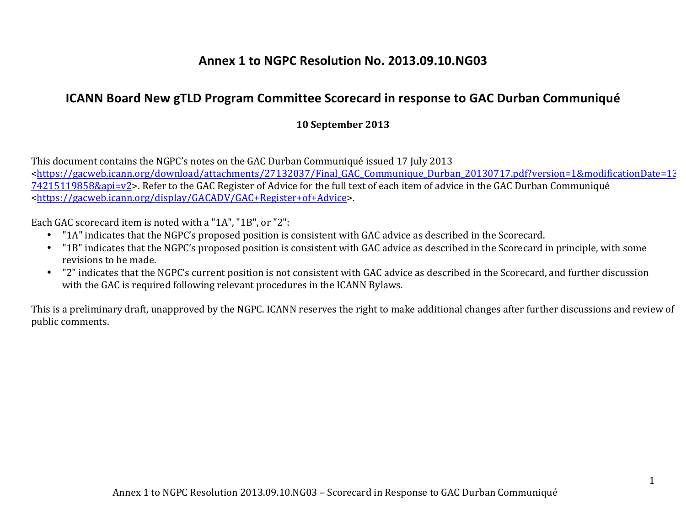## **Annex 1 to NGPC Resolution No. 2013.09.10.NG03**

## **ICANN Board New gTLD Program Committee Scorecard in response to GAC Durban Communiqué**

## **10 September 2013**

This document contains the NGPC's notes on the GAC Durban Communiqué issued 17 July 2013 <https://gacweb.icann.org/download/attachments/27132037/Final\_GAC\_Communique\_Durban\_20130717.pdf?version=1&modificationDate=13 74215119858&api=v2>. Refer to the GAC Register of Advice for the full text of each item of advice in the GAC Durban Communiqué <https://gacweb.icann.org/display/GACADV/GAC+Register+of+Advice>. 

Each GAC scorecard item is noted with a "1A", "1B", or "2":

- "1A" indicates that the NGPC's proposed position is consistent with GAC advice as described in the Scorecard.
- "1B" indicates that the NGPC's proposed position is consistent with GAC advice as described in the Scorecard in principle, with some revisions to be made.
- "2" indicates that the NGPC's current position is not consistent with GAC advice as described in the Scorecard, and further discussion with the GAC is required following relevant procedures in the ICANN Bylaws.

This is a preliminary draft, unapproved by the NGPC. ICANN reserves the right to make additional changes after further discussions and review of public comments.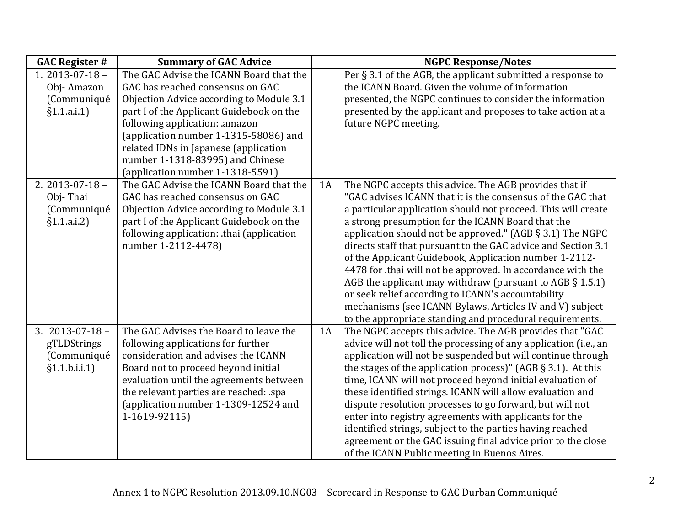| <b>GAC Register #</b>                                               | <b>Summary of GAC Advice</b>                                                                                                                                                                                                                                                                             |    | <b>NGPC Response/Notes</b>                                                                                                                                                                                                                                                                                                                                                                                                                                                                                                                                                                                                                                                                                                                         |
|---------------------------------------------------------------------|----------------------------------------------------------------------------------------------------------------------------------------------------------------------------------------------------------------------------------------------------------------------------------------------------------|----|----------------------------------------------------------------------------------------------------------------------------------------------------------------------------------------------------------------------------------------------------------------------------------------------------------------------------------------------------------------------------------------------------------------------------------------------------------------------------------------------------------------------------------------------------------------------------------------------------------------------------------------------------------------------------------------------------------------------------------------------------|
| 1. $2013 - 07 - 18$ -<br>Obj-Amazon<br>(Communiqué                  | The GAC Advise the ICANN Board that the<br>GAC has reached consensus on GAC<br>Objection Advice according to Module 3.1                                                                                                                                                                                  |    | Per $\S$ 3.1 of the AGB, the applicant submitted a response to<br>the ICANN Board. Given the volume of information<br>presented, the NGPC continues to consider the information                                                                                                                                                                                                                                                                                                                                                                                                                                                                                                                                                                    |
| §1.1.a.i.1]                                                         | part I of the Applicant Guidebook on the<br>following application: .amazon<br>(application number 1-1315-58086) and<br>related IDNs in Japanese (application<br>number 1-1318-83995) and Chinese<br>(application number 1-1318-5591)                                                                     |    | presented by the applicant and proposes to take action at a<br>future NGPC meeting.                                                                                                                                                                                                                                                                                                                                                                                                                                                                                                                                                                                                                                                                |
| 2. $2013 - 07 - 18$ -<br>Obj-Thai<br>(Communiqué<br>§1.1.a.i.2]     | The GAC Advise the ICANN Board that the<br>GAC has reached consensus on GAC<br>Objection Advice according to Module 3.1<br>part I of the Applicant Guidebook on the<br>following application: .thai (application<br>number 1-2112-4478)                                                                  | 1A | The NGPC accepts this advice. The AGB provides that if<br>"GAC advises ICANN that it is the consensus of the GAC that<br>a particular application should not proceed. This will create<br>a strong presumption for the ICANN Board that the<br>application should not be approved." (AGB $\S$ 3.1) The NGPC<br>directs staff that pursuant to the GAC advice and Section 3.1<br>of the Applicant Guidebook, Application number 1-2112-<br>4478 for .thai will not be approved. In accordance with the<br>AGB the applicant may withdraw (pursuant to AGB $\S$ 1.5.1)<br>or seek relief according to ICANN's accountability<br>mechanisms (see ICANN Bylaws, Articles IV and V) subject<br>to the appropriate standing and procedural requirements. |
| $3.2013 - 07 - 18 -$<br>gTLDStrings<br>(Communiqué<br>§1.1.b.i.i.1] | The GAC Advises the Board to leave the<br>following applications for further<br>consideration and advises the ICANN<br>Board not to proceed beyond initial<br>evaluation until the agreements between<br>the relevant parties are reached: .spa<br>(application number 1-1309-12524 and<br>1-1619-92115) | 1A | The NGPC accepts this advice. The AGB provides that "GAC<br>advice will not toll the processing of any application (i.e., an<br>application will not be suspended but will continue through<br>the stages of the application process)" (AGB $\S$ 3.1). At this<br>time, ICANN will not proceed beyond initial evaluation of<br>these identified strings. ICANN will allow evaluation and<br>dispute resolution processes to go forward, but will not<br>enter into registry agreements with applicants for the<br>identified strings, subject to the parties having reached<br>agreement or the GAC issuing final advice prior to the close<br>of the ICANN Public meeting in Buenos Aires.                                                        |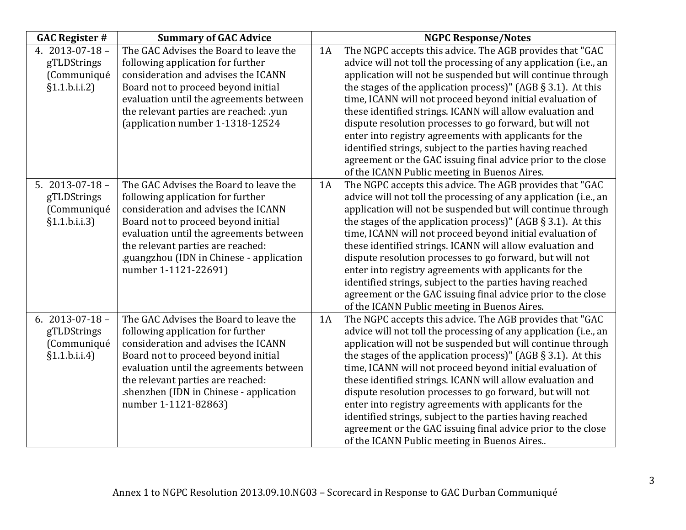| <b>GAC Register #</b> | <b>Summary of GAC Advice</b>             |    | <b>NGPC Response/Notes</b>                                       |
|-----------------------|------------------------------------------|----|------------------------------------------------------------------|
| 4. $2013 - 07 - 18$ - | The GAC Advises the Board to leave the   | 1A | The NGPC accepts this advice. The AGB provides that "GAC         |
| gTLDStrings           | following application for further        |    | advice will not toll the processing of any application (i.e., an |
| (Communiqué           | consideration and advises the ICANN      |    | application will not be suspended but will continue through      |
| §1.1.b.i.i.2]         | Board not to proceed beyond initial      |    | the stages of the application process)" (AGB $\S$ 3.1). At this  |
|                       | evaluation until the agreements between  |    | time, ICANN will not proceed beyond initial evaluation of        |
|                       | the relevant parties are reached: .yun   |    | these identified strings. ICANN will allow evaluation and        |
|                       | (application number 1-1318-12524         |    | dispute resolution processes to go forward, but will not         |
|                       |                                          |    | enter into registry agreements with applicants for the           |
|                       |                                          |    | identified strings, subject to the parties having reached        |
|                       |                                          |    | agreement or the GAC issuing final advice prior to the close     |
|                       |                                          |    | of the ICANN Public meeting in Buenos Aires.                     |
| 5. $2013 - 07 - 18$ - | The GAC Advises the Board to leave the   | 1A | The NGPC accepts this advice. The AGB provides that "GAC         |
| gTLDStrings           | following application for further        |    | advice will not toll the processing of any application (i.e., an |
| (Communiqué           | consideration and advises the ICANN      |    | application will not be suspended but will continue through      |
| §1.1.b.i.i.3]         | Board not to proceed beyond initial      |    | the stages of the application process)" (AGB $\S$ 3.1). At this  |
|                       | evaluation until the agreements between  |    | time, ICANN will not proceed beyond initial evaluation of        |
|                       | the relevant parties are reached:        |    | these identified strings. ICANN will allow evaluation and        |
|                       | .guangzhou (IDN in Chinese - application |    | dispute resolution processes to go forward, but will not         |
|                       | number 1-1121-22691)                     |    | enter into registry agreements with applicants for the           |
|                       |                                          |    | identified strings, subject to the parties having reached        |
|                       |                                          |    | agreement or the GAC issuing final advice prior to the close     |
|                       |                                          |    | of the ICANN Public meeting in Buenos Aires.                     |
| 6. $2013 - 07 - 18$ - | The GAC Advises the Board to leave the   | 1A | The NGPC accepts this advice. The AGB provides that "GAC         |
| gTLDStrings           | following application for further        |    | advice will not toll the processing of any application (i.e., an |
| (Communiqué           | consideration and advises the ICANN      |    | application will not be suspended but will continue through      |
| §1.1.b.i.i.4]         | Board not to proceed beyond initial      |    | the stages of the application process)" (AGB $\S$ 3.1). At this  |
|                       | evaluation until the agreements between  |    | time, ICANN will not proceed beyond initial evaluation of        |
|                       | the relevant parties are reached:        |    | these identified strings. ICANN will allow evaluation and        |
|                       | shenzhen (IDN in Chinese - application   |    | dispute resolution processes to go forward, but will not         |
|                       | number 1-1121-82863)                     |    | enter into registry agreements with applicants for the           |
|                       |                                          |    | identified strings, subject to the parties having reached        |
|                       |                                          |    | agreement or the GAC issuing final advice prior to the close     |
|                       |                                          |    | of the ICANN Public meeting in Buenos Aires                      |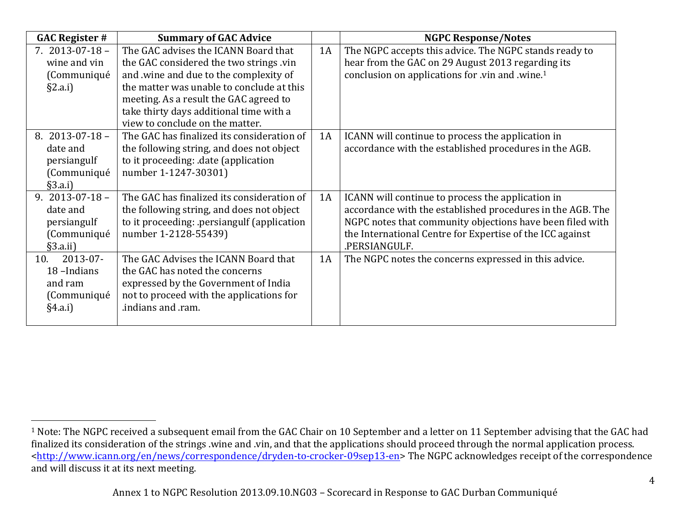| <b>GAC Register #</b> | <b>Summary of GAC Advice</b>               |    | <b>NGPC Response/Notes</b>                                  |
|-----------------------|--------------------------------------------|----|-------------------------------------------------------------|
| $7.2013 - 07 - 18 -$  | The GAC advises the ICANN Board that       | 1A | The NGPC accepts this advice. The NGPC stands ready to      |
| wine and vin          | the GAC considered the two strings .vin    |    | hear from the GAC on 29 August 2013 regarding its           |
| (Communiqué           | and .wine and due to the complexity of     |    | conclusion on applications for .vin and .wine. <sup>1</sup> |
| $\S$ 2.a.i)           | the matter was unable to conclude at this  |    |                                                             |
|                       | meeting. As a result the GAC agreed to     |    |                                                             |
|                       | take thirty days additional time with a    |    |                                                             |
|                       | view to conclude on the matter.            |    |                                                             |
| 8. $2013 - 07 - 18 -$ | The GAC has finalized its consideration of | 1A | ICANN will continue to process the application in           |
| date and              | the following string, and does not object  |    | accordance with the established procedures in the AGB.      |
| persiangulf           | to it proceeding: date (application        |    |                                                             |
| (Communiqué           | number 1-1247-30301)                       |    |                                                             |
| §3.a.i]               |                                            |    |                                                             |
| 9. $2013 - 07 - 18 -$ | The GAC has finalized its consideration of | 1A | ICANN will continue to process the application in           |
| date and              | the following string, and does not object  |    | accordance with the established procedures in the AGB. The  |
| persiangulf           | to it proceeding: persiangulf (application |    | NGPC notes that community objections have been filed with   |
| (Communiqué           | number 1-2128-55439)                       |    | the International Centre for Expertise of the ICC against   |
| §3.a.ii)              |                                            |    | .PERSIANGULF.                                               |
| 2013-07-<br>10.       | The GAC Advises the ICANN Board that       | 1A | The NGPC notes the concerns expressed in this advice.       |
| 18-Indians            | the GAC has noted the concerns             |    |                                                             |
| and ram               | expressed by the Government of India       |    |                                                             |
| (Communiqué           | not to proceed with the applications for   |    |                                                             |
| §4.a.i]               | .indians and .ram.                         |    |                                                             |
|                       |                                            |    |                                                             |

 <sup>1</sup> Note: The NGPC received a subsequent email from the GAC Chair on 10 September and a letter on 11 September advising that the GAC had finalized its consideration of the strings wine and .vin, and that the applications should proceed through the normal application process. <http://www.icann.org/en/news/correspondence/dryden-to-crocker-09sep13-en> The NGPC acknowledges receipt of the correspondence and will discuss it at its next meeting.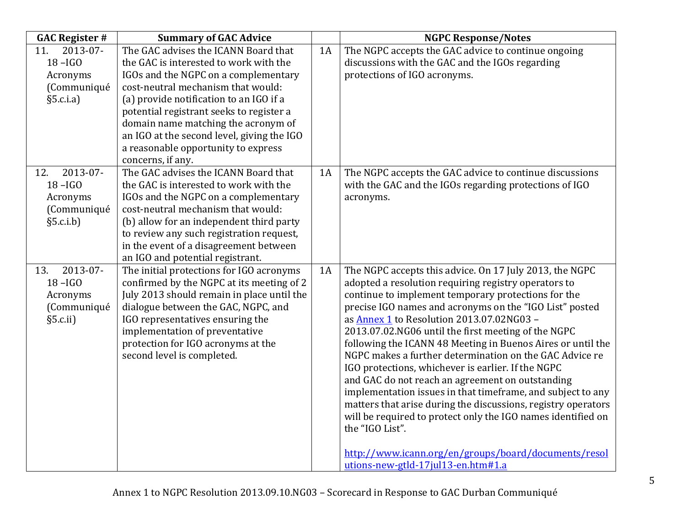| <b>GAC Register #</b> | <b>Summary of GAC Advice</b>               |    | <b>NGPC Response/Notes</b>                                                                                             |
|-----------------------|--------------------------------------------|----|------------------------------------------------------------------------------------------------------------------------|
| 2013-07-<br>11.       | The GAC advises the ICANN Board that       | 1A | The NGPC accepts the GAC advice to continue ongoing                                                                    |
| $18 - IGO$            | the GAC is interested to work with the     |    | discussions with the GAC and the IGOs regarding                                                                        |
| Acronyms              | IGOs and the NGPC on a complementary       |    | protections of IGO acronyms.                                                                                           |
| (Communiqué           | cost-neutral mechanism that would:         |    |                                                                                                                        |
| §5.c.i.a]             | (a) provide notification to an IGO if a    |    |                                                                                                                        |
|                       | potential registrant seeks to register a   |    |                                                                                                                        |
|                       | domain name matching the acronym of        |    |                                                                                                                        |
|                       | an IGO at the second level, giving the IGO |    |                                                                                                                        |
|                       | a reasonable opportunity to express        |    |                                                                                                                        |
|                       | concerns, if any.                          |    |                                                                                                                        |
| 2013-07-<br>12.       | The GAC advises the ICANN Board that       | 1A | The NGPC accepts the GAC advice to continue discussions                                                                |
| $18 - IGO$            | the GAC is interested to work with the     |    | with the GAC and the IGOs regarding protections of IGO                                                                 |
| Acronyms              | IGOs and the NGPC on a complementary       |    | acronyms.                                                                                                              |
| (Communiqué           | cost-neutral mechanism that would:         |    |                                                                                                                        |
| §5.c.i.b]             | (b) allow for an independent third party   |    |                                                                                                                        |
|                       | to review any such registration request,   |    |                                                                                                                        |
|                       | in the event of a disagreement between     |    |                                                                                                                        |
|                       | an IGO and potential registrant.           |    |                                                                                                                        |
| 2013-07-<br>13.       | The initial protections for IGO acronyms   | 1A | The NGPC accepts this advice. On 17 July 2013, the NGPC                                                                |
| $18 - IGO$            | confirmed by the NGPC at its meeting of 2  |    | adopted a resolution requiring registry operators to                                                                   |
| Acronyms              | July 2013 should remain in place until the |    | continue to implement temporary protections for the                                                                    |
| (Communiqué           | dialogue between the GAC, NGPC, and        |    | precise IGO names and acronyms on the "IGO List" posted                                                                |
| §5.c.ii)              | IGO representatives ensuring the           |    | as Annex 1 to Resolution 2013.07.02NG03 -                                                                              |
|                       | implementation of preventative             |    | 2013.07.02.NG06 until the first meeting of the NGPC                                                                    |
|                       | protection for IGO acronyms at the         |    | following the ICANN 48 Meeting in Buenos Aires or until the<br>NGPC makes a further determination on the GAC Advice re |
|                       | second level is completed.                 |    | IGO protections, whichever is earlier. If the NGPC                                                                     |
|                       |                                            |    | and GAC do not reach an agreement on outstanding                                                                       |
|                       |                                            |    | implementation issues in that timeframe, and subject to any                                                            |
|                       |                                            |    | matters that arise during the discussions, registry operators                                                          |
|                       |                                            |    | will be required to protect only the IGO names identified on                                                           |
|                       |                                            |    | the "IGO List".                                                                                                        |
|                       |                                            |    |                                                                                                                        |
|                       |                                            |    | http://www.icann.org/en/groups/board/documents/resol                                                                   |
|                       |                                            |    | utions-new-gtld-17jul13-en.htm#1.a                                                                                     |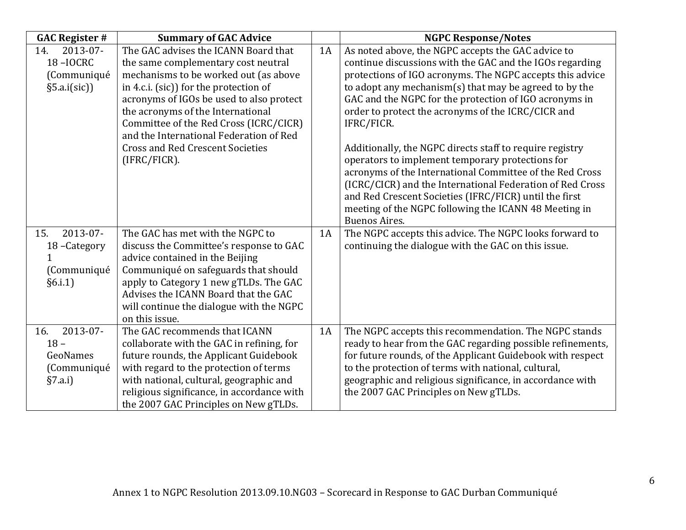| <b>GAC Register #</b> | <b>Summary of GAC Advice</b>                                                   |    | <b>NGPC Response/Notes</b>                                 |
|-----------------------|--------------------------------------------------------------------------------|----|------------------------------------------------------------|
| 2013-07-<br>14.       | The GAC advises the ICANN Board that                                           | 1A | As noted above, the NGPC accepts the GAC advice to         |
| <b>18-IOCRC</b>       | the same complementary cost neutral                                            |    | continue discussions with the GAC and the IGOs regarding   |
| (Communiqué           | mechanisms to be worked out (as above                                          |    | protections of IGO acronyms. The NGPC accepts this advice  |
| §5.a.i(sic)]          | in 4.c.i. (sic)) for the protection of                                         |    | to adopt any mechanism(s) that may be agreed to by the     |
|                       | acronyms of IGOs be used to also protect                                       |    | GAC and the NGPC for the protection of IGO acronyms in     |
|                       | the acronyms of the International                                              |    | order to protect the acronyms of the ICRC/CICR and         |
|                       | Committee of the Red Cross (ICRC/CICR)                                         |    | IFRC/FICR.                                                 |
|                       | and the International Federation of Red                                        |    |                                                            |
|                       | <b>Cross and Red Crescent Societies</b>                                        |    | Additionally, the NGPC directs staff to require registry   |
|                       | (IFRC/FICR).                                                                   |    | operators to implement temporary protections for           |
|                       |                                                                                |    | acronyms of the International Committee of the Red Cross   |
|                       |                                                                                |    | (ICRC/CICR) and the International Federation of Red Cross  |
|                       |                                                                                |    | and Red Crescent Societies (IFRC/FICR) until the first     |
|                       |                                                                                |    | meeting of the NGPC following the ICANN 48 Meeting in      |
| 2013-07-              |                                                                                |    | <b>Buenos Aires.</b>                                       |
| 15.                   | The GAC has met with the NGPC to                                               | 1A | The NGPC accepts this advice. The NGPC looks forward to    |
| 18-Category           | discuss the Committee's response to GAC                                        |    | continuing the dialogue with the GAC on this issue.        |
|                       | advice contained in the Beijing                                                |    |                                                            |
| (Communiqué           | Communiqué on safeguards that should                                           |    |                                                            |
| §6.i.1]               | apply to Category 1 new gTLDs. The GAC<br>Advises the ICANN Board that the GAC |    |                                                            |
|                       | will continue the dialogue with the NGPC                                       |    |                                                            |
|                       | on this issue.                                                                 |    |                                                            |
| 2013-07-<br>16.       | The GAC recommends that ICANN                                                  | 1A | The NGPC accepts this recommendation. The NGPC stands      |
| $18 -$                | collaborate with the GAC in refining, for                                      |    | ready to hear from the GAC regarding possible refinements, |
| GeoNames              | future rounds, the Applicant Guidebook                                         |    | for future rounds, of the Applicant Guidebook with respect |
| (Communiqué           | with regard to the protection of terms                                         |    | to the protection of terms with national, cultural,        |
| §7.a.i]               | with national, cultural, geographic and                                        |    | geographic and religious significance, in accordance with  |
|                       | religious significance, in accordance with                                     |    | the 2007 GAC Principles on New gTLDs.                      |
|                       | the 2007 GAC Principles on New gTLDs.                                          |    |                                                            |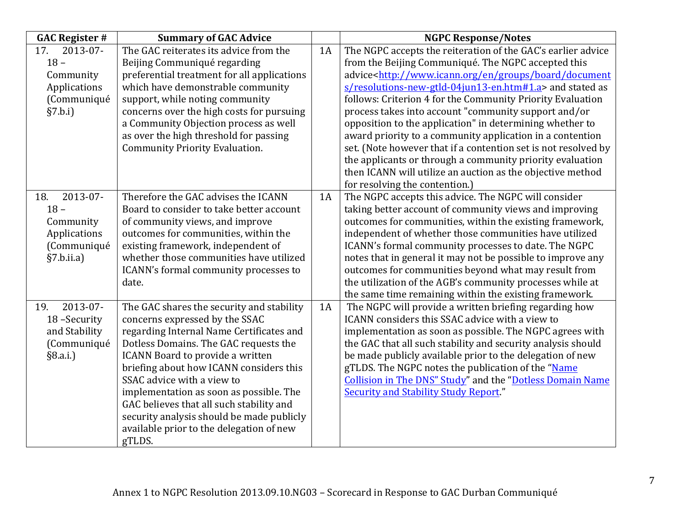| <b>GAC Register #</b> | <b>Summary of GAC Advice</b>                |    | <b>NGPC Response/Notes</b>                                                          |
|-----------------------|---------------------------------------------|----|-------------------------------------------------------------------------------------|
| 2013-07-<br>17.       | The GAC reiterates its advice from the      | 1A | The NGPC accepts the reiteration of the GAC's earlier advice                        |
| $18 -$                | Beijing Communiqué regarding                |    | from the Beijing Communiqué. The NGPC accepted this                                 |
| Community             | preferential treatment for all applications |    | advice <http: board="" document<="" en="" groups="" td="" www.icann.org=""></http:> |
| Applications          | which have demonstrable community           |    | s/resolutions-new-gtld-04jun13-en.htm#1.a> and stated as                            |
| (Communiqué           | support, while noting community             |    | follows: Criterion 4 for the Community Priority Evaluation                          |
| §7.b.i]               | concerns over the high costs for pursuing   |    | process takes into account "community support and/or                                |
|                       | a Community Objection process as well       |    | opposition to the application" in determining whether to                            |
|                       | as over the high threshold for passing      |    | award priority to a community application in a contention                           |
|                       | <b>Community Priority Evaluation.</b>       |    | set. (Note however that if a contention set is not resolved by                      |
|                       |                                             |    | the applicants or through a community priority evaluation                           |
|                       |                                             |    | then ICANN will utilize an auction as the objective method                          |
|                       |                                             |    | for resolving the contention.)                                                      |
| 2013-07-<br>18.       | Therefore the GAC advises the ICANN         | 1A | The NGPC accepts this advice. The NGPC will consider                                |
| $18 -$                | Board to consider to take better account    |    | taking better account of community views and improving                              |
| Community             | of community views, and improve             |    | outcomes for communities, within the existing framework,                            |
| Applications          | outcomes for communities, within the        |    | independent of whether those communities have utilized                              |
| (Communiqué           | existing framework, independent of          |    | ICANN's formal community processes to date. The NGPC                                |
| §7.b.ii.a)            | whether those communities have utilized     |    | notes that in general it may not be possible to improve any                         |
|                       | ICANN's formal community processes to       |    | outcomes for communities beyond what may result from                                |
|                       | date.                                       |    | the utilization of the AGB's community processes while at                           |
|                       |                                             |    | the same time remaining within the existing framework.                              |
| 2013-07-<br>19.       | The GAC shares the security and stability   | 1A | The NGPC will provide a written briefing regarding how                              |
| 18-Security           | concerns expressed by the SSAC              |    | ICANN considers this SSAC advice with a view to                                     |
| and Stability         | regarding Internal Name Certificates and    |    | implementation as soon as possible. The NGPC agrees with                            |
| (Communiqué           | Dotless Domains. The GAC requests the       |    | the GAC that all such stability and security analysis should                        |
| §8.a.i.)              | ICANN Board to provide a written            |    | be made publicly available prior to the delegation of new                           |
|                       | briefing about how ICANN considers this     |    | gTLDS. The NGPC notes the publication of the "Name                                  |
|                       | SSAC advice with a view to                  |    | Collision in The DNS" Study" and the "Dotless Domain Name                           |
|                       | implementation as soon as possible. The     |    | <b>Security and Stability Study Report."</b>                                        |
|                       | GAC believes that all such stability and    |    |                                                                                     |
|                       | security analysis should be made publicly   |    |                                                                                     |
|                       | available prior to the delegation of new    |    |                                                                                     |
|                       | gTLDS.                                      |    |                                                                                     |